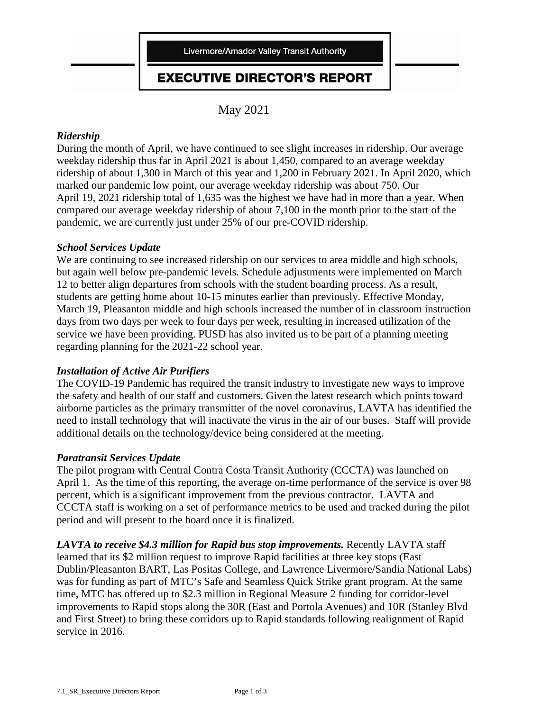

### **EXECUTIVE DIRECTOR'S REPORT**

May 2021

#### *Ridership*

During the month of April, we have continued to see slight increases in ridership. Our average weekday ridership thus far in April 2021 is about 1,450, compared to an average weekday ridership of about 1,300 in March of this year and 1,200 in February 2021. In April 2020, which marked our pandemic low point, our average weekday ridership was about 750. Our April 19, 2021 ridership total of 1,635 was the highest we have had in more than a year. When compared our average weekday ridership of about 7,100 in the month prior to the start of the pandemic, we are currently just under 25% of our pre-COVID ridership.

#### *School Services Update*

We are continuing to see increased ridership on our services to area middle and high schools, but again well below pre-pandemic levels. Schedule adjustments were implemented on March 12 to better align departures from schools with the student boarding process. As a result, students are getting home about 10-15 minutes earlier than previously. Effective Monday, March 19, Pleasanton middle and high schools increased the number of in classroom instruction days from two days per week to four days per week, resulting in increased utilization of the service we have been providing. PUSD has also invited us to be part of a planning meeting regarding planning for the 2021-22 school year.

#### *Installation of Active Air Purifiers*

The COVID-19 Pandemic has required the transit industry to investigate new ways to improve the safety and health of our staff and customers. Given the latest research which points toward airborne particles as the primary transmitter of the novel coronavirus, LAVTA has identified the need to install technology that will inactivate the virus in the air of our buses. Staff will provide additional details on the technology/device being considered at the meeting.

#### *Paratransit Services Update*

The pilot program with Central Contra Costa Transit Authority (CCCTA) was launched on April 1. As the time of this reporting, the average on-time performance of the service is over 98 percent, which is a significant improvement from the previous contractor. LAVTA and CCCTA staff is working on a set of performance metrics to be used and tracked during the pilot period and will present to the board once it is finalized.

*LAVTA to receive \$4.3 million for Rapid bus stop improvements.* Recently LAVTA staff learned that its \$2 million request to improve Rapid facilities at three key stops (East Dublin/Pleasanton BART, Las Positas College, and Lawrence Livermore/Sandia National Labs) was for funding as part of MTC's Safe and Seamless Quick Strike grant program. At the same time, MTC has offered up to \$2.3 million in Regional Measure 2 funding for corridor-level improvements to Rapid stops along the 30R (East and Portola Avenues) and 10R (Stanley Blvd and First Street) to bring these corridors up to Rapid standards following realignment of Rapid service in 2016.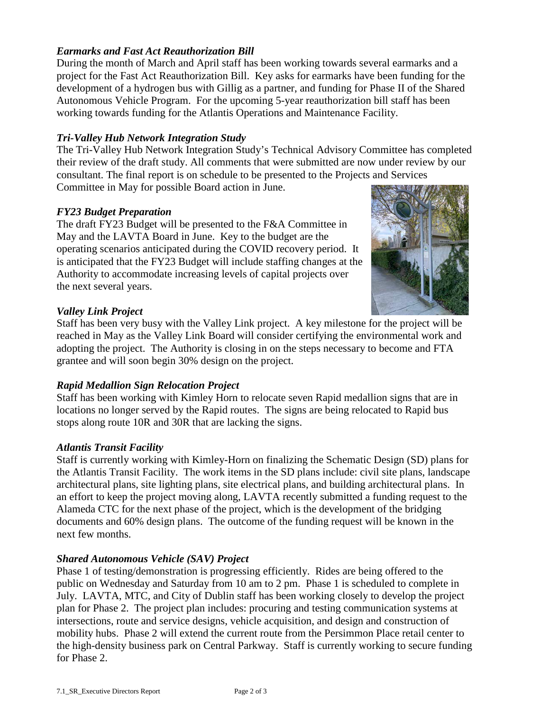#### *Earmarks and Fast Act Reauthorization Bill*

During the month of March and April staff has been working towards several earmarks and a project for the Fast Act Reauthorization Bill. Key asks for earmarks have been funding for the development of a hydrogen bus with Gillig as a partner, and funding for Phase II of the Shared Autonomous Vehicle Program. For the upcoming 5-year reauthorization bill staff has been working towards funding for the Atlantis Operations and Maintenance Facility.

#### *Tri-Valley Hub Network Integration Study*

The Tri-Valley Hub Network Integration Study's Technical Advisory Committee has completed their review of the draft study. All comments that were submitted are now under review by our consultant. The final report is on schedule to be presented to the Projects and Services Committee in May for possible Board action in June.

#### *FY23 Budget Preparation*

The draft FY23 Budget will be presented to the F&A Committee in May and the LAVTA Board in June. Key to the budget are the operating scenarios anticipated during the COVID recovery period. It is anticipated that the FY23 Budget will include staffing changes at the Authority to accommodate increasing levels of capital projects over the next several years.



#### *Valley Link Project*

Staff has been very busy with the Valley Link project. A key milestone for the project will be reached in May as the Valley Link Board will consider certifying the environmental work and adopting the project. The Authority is closing in on the steps necessary to become and FTA grantee and will soon begin 30% design on the project.

#### *Rapid Medallion Sign Relocation Project*

Staff has been working with Kimley Horn to relocate seven Rapid medallion signs that are in locations no longer served by the Rapid routes. The signs are being relocated to Rapid bus stops along route 10R and 30R that are lacking the signs.

#### *Atlantis Transit Facility*

Staff is currently working with Kimley-Horn on finalizing the Schematic Design (SD) plans for the Atlantis Transit Facility. The work items in the SD plans include: civil site plans, landscape architectural plans, site lighting plans, site electrical plans, and building architectural plans. In an effort to keep the project moving along, LAVTA recently submitted a funding request to the Alameda CTC for the next phase of the project, which is the development of the bridging documents and 60% design plans. The outcome of the funding request will be known in the next few months.

#### *Shared Autonomous Vehicle (SAV) Project*

Phase 1 of testing/demonstration is progressing efficiently. Rides are being offered to the public on Wednesday and Saturday from 10 am to 2 pm. Phase 1 is scheduled to complete in July. LAVTA, MTC, and City of Dublin staff has been working closely to develop the project plan for Phase 2. The project plan includes: procuring and testing communication systems at intersections, route and service designs, vehicle acquisition, and design and construction of mobility hubs. Phase 2 will extend the current route from the Persimmon Place retail center to the high-density business park on Central Parkway. Staff is currently working to secure funding for Phase 2.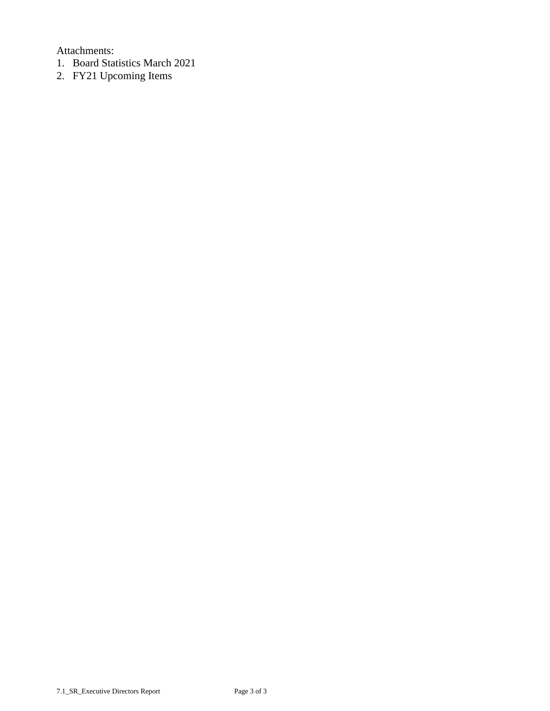Attachments:

- 1. Board Statistics March 2021
- 2. FY21 Upcoming Items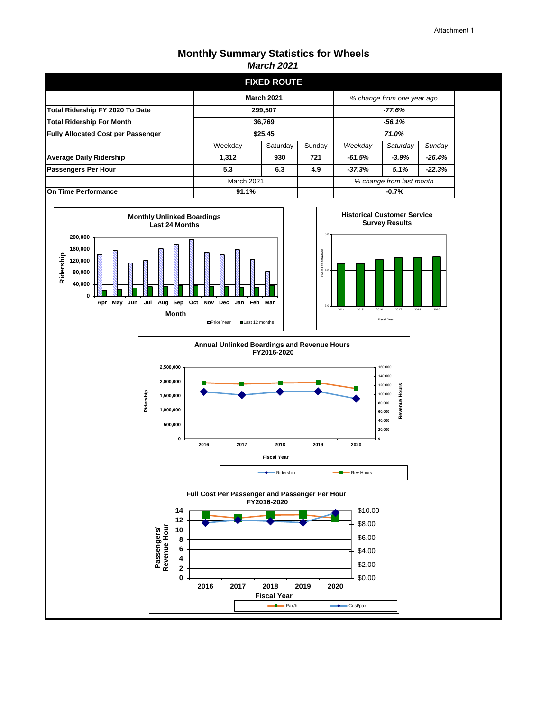#### **Monthly Summary Statistics for Wheels** *March 2021*

|                                           |                   | <b>FIXED ROUTE</b> |        |                            |          |          |
|-------------------------------------------|-------------------|--------------------|--------|----------------------------|----------|----------|
|                                           | <b>March 2021</b> |                    |        | % change from one year ago |          |          |
| Total Ridership FY 2020 To Date           | 299,507           |                    |        | -77.6%                     |          |          |
| <b>Total Ridership For Month</b>          | 36,769            |                    |        | $-56.1%$                   |          |          |
| <b>Fully Allocated Cost per Passenger</b> | \$25.45           |                    |        | 71.0%                      |          |          |
|                                           | Weekday           | Saturday           | Sunday | Weekday                    | Saturday | Sunday   |
| <b>Average Daily Ridership</b>            | 1.312             | 930                | 721    | $-61.5%$                   | $-3.9%$  | $-26.4%$ |
| Passengers Per Hour                       | 5.3               | 6.3                | 4.9    | $-37.3%$                   | 5.1%     | $-22.3%$ |
|                                           | March 2021        |                    |        | % change from last month   |          |          |
| <b>On Time Performance</b>                | 91.1%             |                    |        | $-0.7%$                    |          |          |







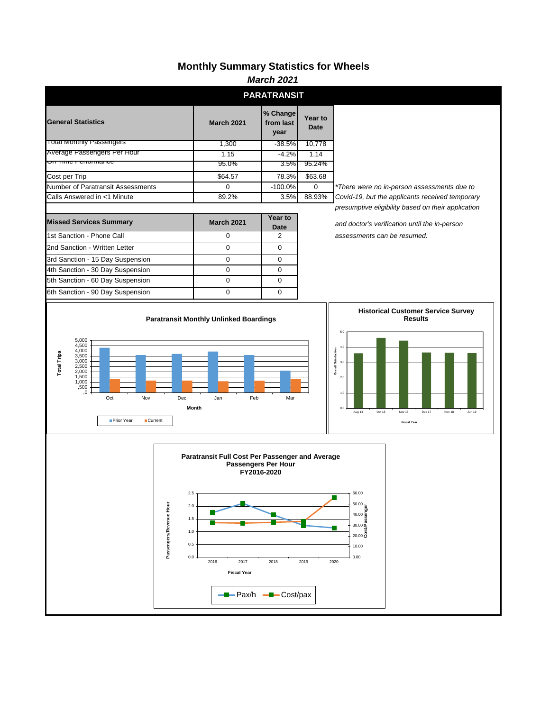## **Monthly Summary Statistics for Wheels**

| <b>March 2021</b>                                                                                                                                      |                                                                                                           |                                            |                        |                                                                                                                                               |  |  |
|--------------------------------------------------------------------------------------------------------------------------------------------------------|-----------------------------------------------------------------------------------------------------------|--------------------------------------------|------------------------|-----------------------------------------------------------------------------------------------------------------------------------------------|--|--|
|                                                                                                                                                        |                                                                                                           | <b>PARATRANSIT</b>                         |                        |                                                                                                                                               |  |  |
| <b>General Statistics</b>                                                                                                                              | <b>March 2021</b>                                                                                         | % Change<br>from last<br>year              | Year to<br><b>Date</b> |                                                                                                                                               |  |  |
| <b>Total Monthly Passengers</b>                                                                                                                        | 1,300                                                                                                     | $-38.5%$                                   | 10,778                 |                                                                                                                                               |  |  |
| Average Passengers Per Hour                                                                                                                            | 1.15                                                                                                      | $-4.2%$                                    | 1.14                   |                                                                                                                                               |  |  |
| <b>OIT TIME FENOMIATICE</b>                                                                                                                            | 95.0%                                                                                                     | $3.5\%$                                    | 95.24%                 |                                                                                                                                               |  |  |
| Cost per Trip                                                                                                                                          | \$64.57                                                                                                   | 78.3%                                      | \$63.68                |                                                                                                                                               |  |  |
| Number of Paratransit Assessments                                                                                                                      | 0                                                                                                         | $-100.0%$                                  | 0                      | *There were no in-person assessments due to                                                                                                   |  |  |
| Calls Answered in <1 Minute                                                                                                                            | 89.2%                                                                                                     | 3.5%                                       | 88.93%                 | Covid-19, but the applicants received temporary<br>presumptive eligibility based on their application                                         |  |  |
| <b>Missed Services Summary</b>                                                                                                                         | <b>March 2021</b>                                                                                         | Year to<br>Date                            |                        | and doctor's verification until the in-person                                                                                                 |  |  |
| 1st Sanction - Phone Call                                                                                                                              | $\mathbf 0$                                                                                               | $\overline{2}$                             |                        | assessments can be resumed.                                                                                                                   |  |  |
| 2nd Sanction - Written Letter                                                                                                                          | $\mathbf 0$                                                                                               | $\mathbf 0$                                |                        |                                                                                                                                               |  |  |
| 3rd Sanction - 15 Day Suspension                                                                                                                       | 0                                                                                                         | 0                                          |                        |                                                                                                                                               |  |  |
| 4th Sanction - 30 Day Suspension                                                                                                                       | 0                                                                                                         | 0                                          |                        |                                                                                                                                               |  |  |
| 5th Sanction - 60 Day Suspension                                                                                                                       | $\mathbf 0$                                                                                               | $\mathbf 0$                                |                        |                                                                                                                                               |  |  |
| 6th Sanction - 90 Day Suspension                                                                                                                       | $\mathbf 0$                                                                                               | $\mathbf 0$                                |                        |                                                                                                                                               |  |  |
| 4,500<br>4,000<br><b>Total Trips</b><br>3,500<br>3,000<br>2,500<br>2,000<br>1,500<br>1,000<br>,500<br>,0<br>Oct<br>Nov<br>Prior Year<br><b>Current</b> | Feb<br>Dec<br>Jan<br>Month                                                                                | Mar                                        |                        | 4.0<br>Overall Satisfaction<br>3.0<br>2.0<br>$1.0\,$<br>0.0<br>Aug 14<br>Oct 15<br>Nov 16<br>Dec 17<br>Nov 18<br>Jun 19<br><b>Fiscal Year</b> |  |  |
| Passengers/Revenue Hour                                                                                                                                | Paratransit Full Cost Per Passenger and Average<br>2.5<br>2.0<br>1.5<br>1.0<br>0.5<br>0.0<br>2016<br>2017 | Passengers Per Hour<br>FY2016-2020<br>2018 | 2019                   | 60.00<br>50.00<br>$50.00$<br>40.00 ages<br>40.00 ages<br>30.00 $\frac{1}{2}$<br>20.00 $\frac{1}{2}$<br>10.00<br>0.00<br>2020                  |  |  |
|                                                                                                                                                        | <b>Fiscal Year</b>                                                                                        | <b>-</b> Pax/h - Cost/pax                  |                        |                                                                                                                                               |  |  |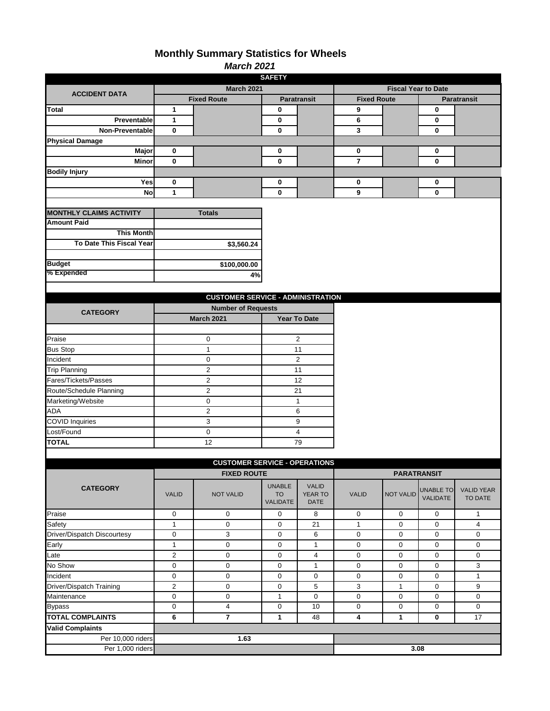### **Monthly Summary Statistics for Wheels**

| <b>March 2021</b> |  |
|-------------------|--|

| <b>SAFETY</b>                  |                    |                                          |                                               |                                        |                            |                    |                              |                              |
|--------------------------------|--------------------|------------------------------------------|-----------------------------------------------|----------------------------------------|----------------------------|--------------------|------------------------------|------------------------------|
|                                | <b>March 2021</b>  |                                          |                                               |                                        | <b>Fiscal Year to Date</b> |                    |                              |                              |
| <b>ACCIDENT DATA</b>           | <b>Fixed Route</b> |                                          | <b>Paratransit</b>                            |                                        | <b>Fixed Route</b>         |                    | <b>Paratransit</b>           |                              |
| Total                          | 1                  |                                          | 0                                             |                                        | 9                          |                    | 0                            |                              |
| Preventable                    | 1                  |                                          | 0                                             |                                        | 6                          |                    | 0                            |                              |
| Non-Preventable                | $\bf{0}$           |                                          | $\bf{0}$                                      |                                        | 3                          |                    | 0                            |                              |
| <b>Physical Damage</b>         |                    |                                          |                                               |                                        |                            |                    |                              |                              |
| Major                          | 0                  |                                          | 0                                             |                                        | 0                          |                    | 0                            |                              |
| Minor                          | 0                  |                                          | 0                                             |                                        | $\overline{7}$             |                    | 0                            |                              |
| <b>Bodily Injury</b>           |                    |                                          |                                               |                                        |                            |                    |                              |                              |
| Yes                            | 0                  |                                          | 0                                             |                                        | 0                          |                    | 0                            |                              |
| No                             | 1                  |                                          | 0                                             |                                        | 9                          |                    | 0                            |                              |
|                                |                    |                                          |                                               |                                        |                            |                    |                              |                              |
| <b>MONTHLY CLAIMS ACTIVITY</b> |                    | <b>Totals</b>                            |                                               |                                        |                            |                    |                              |                              |
| <b>Amount Paid</b>             |                    |                                          |                                               |                                        |                            |                    |                              |                              |
| <b>This Month</b>              |                    |                                          |                                               |                                        |                            |                    |                              |                              |
| To Date This Fiscal Year       |                    | \$3,560.24                               |                                               |                                        |                            |                    |                              |                              |
|                                |                    |                                          |                                               |                                        |                            |                    |                              |                              |
| <b>Budget</b><br>% Expended    |                    | \$100,000.00                             |                                               |                                        |                            |                    |                              |                              |
|                                |                    | 4%                                       |                                               |                                        |                            |                    |                              |                              |
|                                |                    |                                          |                                               |                                        |                            |                    |                              |                              |
|                                |                    | <b>CUSTOMER SERVICE - ADMINISTRATION</b> |                                               |                                        |                            |                    |                              |                              |
| <b>CATEGORY</b>                |                    | <b>Number of Requests</b>                |                                               |                                        |                            |                    |                              |                              |
|                                |                    | <b>March 2021</b>                        |                                               | <b>Year To Date</b>                    |                            |                    |                              |                              |
|                                |                    |                                          |                                               |                                        |                            |                    |                              |                              |
| Praise                         |                    | 0                                        |                                               | $\overline{2}$                         |                            |                    |                              |                              |
| <b>Bus Stop</b>                |                    | $\mathbf{1}$                             |                                               | 11                                     |                            |                    |                              |                              |
| Incident                       |                    | 0                                        |                                               | $\overline{c}$                         |                            |                    |                              |                              |
| <b>Trip Planning</b>           |                    | $\overline{2}$                           |                                               | 11                                     |                            |                    |                              |                              |
| Fares/Tickets/Passes           |                    | $\overline{c}$                           |                                               | 12                                     |                            |                    |                              |                              |
| Route/Schedule Planning        |                    | $\overline{c}$                           |                                               | 21                                     |                            |                    |                              |                              |
| Marketing/Website              |                    | 0                                        |                                               | $\mathbf{1}$                           |                            |                    |                              |                              |
| ADA                            |                    | $\overline{2}$                           |                                               | 6                                      |                            |                    |                              |                              |
| <b>COVID Inquiries</b>         |                    | 3                                        | 9                                             |                                        |                            |                    |                              |                              |
| Lost/Found                     |                    | 0                                        |                                               | $\overline{\mathbf{4}}$                |                            |                    |                              |                              |
| <b>TOTAL</b>                   |                    | 12                                       |                                               | 79                                     |                            |                    |                              |                              |
|                                |                    |                                          |                                               |                                        |                            |                    |                              |                              |
|                                |                    | <b>CUSTOMER SERVICE - OPERATIONS</b>     |                                               |                                        |                            |                    |                              |                              |
|                                |                    | <b>FIXED ROUTE</b>                       |                                               |                                        |                            | <b>PARATRANSIT</b> |                              |                              |
| <b>CATEGORY</b>                | <b>VALID</b>       | <b>NOT VALID</b>                         | <b>UNABLE</b><br><b>TO</b><br><b>VALIDATE</b> | <b>VALID</b><br>YEAR TO<br><b>DATE</b> | <b>VALID</b>               | <b>NOT VALID</b>   | <b>UNABLE TO</b><br>VALIDATE | <b>VALID YEAR</b><br>TO DATE |
| Praise                         | $\pmb{0}$          | 0                                        | 0                                             | 8                                      | $\pmb{0}$                  | 0                  | $\mathbf 0$                  | $\mathbf{1}$                 |
| Safety                         | $\mathbf{1}$       | 0                                        | 0                                             | 21                                     | $\mathbf{1}$               | 0                  | 0                            | $\overline{4}$               |
| Driver/Dispatch Discourtesy    | $\boldsymbol{0}$   | $\overline{3}$                           | 0                                             | 6                                      | $\mathbf 0$                | 0                  | $\pmb{0}$                    | $\mathbf 0$                  |
| Early                          | $\mathbf{1}$       | $\mathsf 0$                              | 0                                             | $\mathbf{1}$                           | 0                          | 0                  | 0                            | $\mathbf 0$                  |
| Late                           | $\overline{2}$     | 0                                        | 0                                             | $\overline{4}$                         | $\mathbf 0$                | 0                  | 0                            | $\mathbf 0$                  |
| No Show                        | $\boldsymbol{0}$   | $\mathsf 0$                              | $\mathsf{O}\xspace$                           | $\mathbf{1}$                           | $\mathbf 0$                | 0                  | $\mathbf 0$                  | 3                            |
| Incident                       | $\pmb{0}$          | 0                                        | 0                                             | $\mathbf 0$                            | $\mathsf 0$                | 0                  | $\mathbf 0$                  | $\mathbf{1}$                 |
| Driver/Dispatch Training       | $\overline{2}$     | 0                                        | 0                                             | $\,$ 5 $\,$                            | $\mathbf 3$                | $\mathbf{1}$       | 0                            | 9                            |
| Maintenance                    | $\pmb{0}$          | 0                                        | $\mathbf 1$                                   | $\pmb{0}$                              | $\mathsf{O}\xspace$        | 0                  | 0                            | $\mathbf 0$                  |
| <b>Bypass</b>                  | 0                  | 4                                        | 0                                             | 10                                     | $\mathsf 0$                | 0                  | 0                            | 0                            |
| <b>TOTAL COMPLAINTS</b>        | 6                  | $\overline{7}$                           | 1                                             | 48                                     | $\overline{\mathbf{4}}$    | 1                  | 0                            | 17                           |
| <b>Valid Complaints</b>        |                    |                                          |                                               |                                        |                            |                    |                              |                              |
| Per 10,000 riders              |                    | 1.63                                     |                                               |                                        |                            |                    |                              |                              |
| Per 1,000 riders               |                    |                                          |                                               |                                        |                            | 3.08               |                              |                              |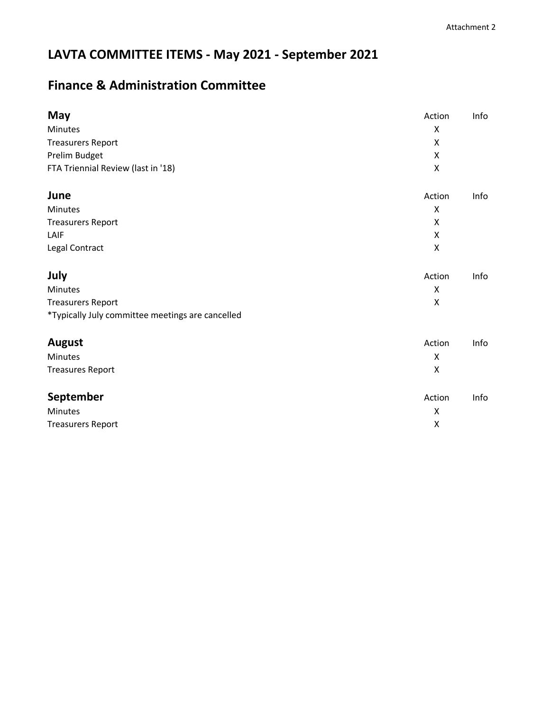# **LAVTA COMMITTEE ITEMS - May 2021 - September 2021**

## **Finance & Administration Committee**

| May                                              | Action             | Info |
|--------------------------------------------------|--------------------|------|
| Minutes                                          | X                  |      |
| <b>Treasurers Report</b>                         | X                  |      |
| Prelim Budget                                    | X                  |      |
| FTA Triennial Review (last in '18)               | $\mathsf{X}$       |      |
| June                                             | Action             | Info |
| Minutes                                          | X                  |      |
| <b>Treasurers Report</b>                         | X                  |      |
| LAIF                                             | X                  |      |
| Legal Contract                                   | X                  |      |
| July                                             | Action             | Info |
| Minutes                                          | X                  |      |
| <b>Treasurers Report</b>                         | X                  |      |
| *Typically July committee meetings are cancelled |                    |      |
| <b>August</b>                                    | Action             | Info |
| Minutes                                          | X                  |      |
| <b>Treasures Report</b>                          | $\pmb{\mathsf{X}}$ |      |
| September                                        | Action             | Info |
| <b>Minutes</b>                                   | $\pmb{\mathsf{X}}$ |      |
| <b>Treasurers Report</b>                         | $\pmb{\mathsf{X}}$ |      |